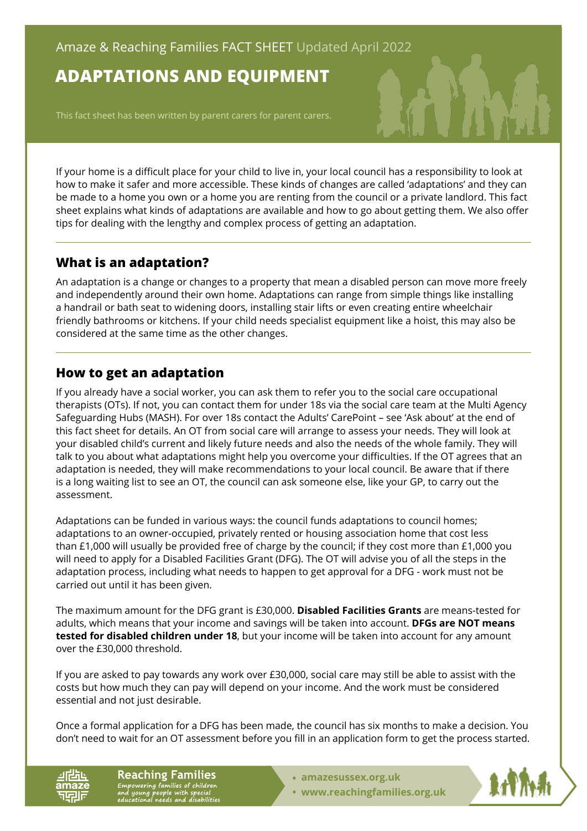# **ADAPTATIONS AND EQUIPMENT**

This fact sheet has been written by parent carers for parent carers.

If your home is a difficult place for your child to live in, your local council has a responsibility to look at how to make it safer and more accessible. These kinds of changes are called 'adaptations' and they can be made to a home you own or a home you are renting from the council or a private landlord. This fact sheet explains what kinds of adaptations are available and how to go about getting them. We also offer tips for dealing with the lengthy and complex process of getting an adaptation.

## **What is an adaptation?**

An adaptation is a change or changes to a property that mean a disabled person can move more freely and independently around their own home. Adaptations can range from simple things like installing a handrail or bath seat to widening doors, installing stair lifts or even creating entire wheelchair friendly bathrooms or kitchens. If your child needs specialist equipment like a hoist, this may also be considered at the same time as the other changes.

## **How to get an adaptation**

If you already have a social worker, you can ask them to refer you to the social care occupational therapists (OTs). If not, you can contact them for under 18s via the social care team at the Multi Agency Safeguarding Hubs (MASH). For over 18s contact the Adults' CarePoint – see 'Ask about' at the end of this fact sheet for details. An OT from social care will arrange to assess your needs. They will look at your disabled child's current and likely future needs and also the needs of the whole family. They will talk to you about what adaptations might help you overcome your difficulties. If the OT agrees that an adaptation is needed, they will make recommendations to your local council. Be aware that if there is a long waiting list to see an OT, the council can ask someone else, like your GP, to carry out the assessment.

Adaptations can be funded in various ways: the council funds adaptations to council homes; adaptations to an owner-occupied, privately rented or housing association home that cost less than £1,000 will usually be provided free of charge by the council; if they cost more than £1,000 you will need to apply for a Disabled Facilities Grant (DFG). The OT will advise you of all the steps in the adaptation process, including what needs to happen to get approval for a DFG - work must not be carried out until it has been given.

The maximum amount for the DFG grant is £30,000. **Disabled Facilities Grants** are means-tested for adults, which means that your income and savings will be taken into account. **DFGs are NOT means tested for disabled children under 18**, but your income will be taken into account for any amount over the £30,000 threshold.

If you are asked to pay towards any work over £30,000, social care may still be able to assist with the costs but how much they can pay will depend on your income. And the work must be considered essential and not just desirable.

Once a formal application for a DFG has been made, the council has six months to make a decision. You don't need to wait for an OT assessment before you fill in an application form to get the process started.

**Reaching Families** Empowering families of children<br>and young people with special<br>educational needs and disabilities

- **• [amazesussex.org.uk](https://amazesussex.org.uk)**
- **[www.reachingfamilies.org.uk](https://www.reachingfamilies.org.uk)**

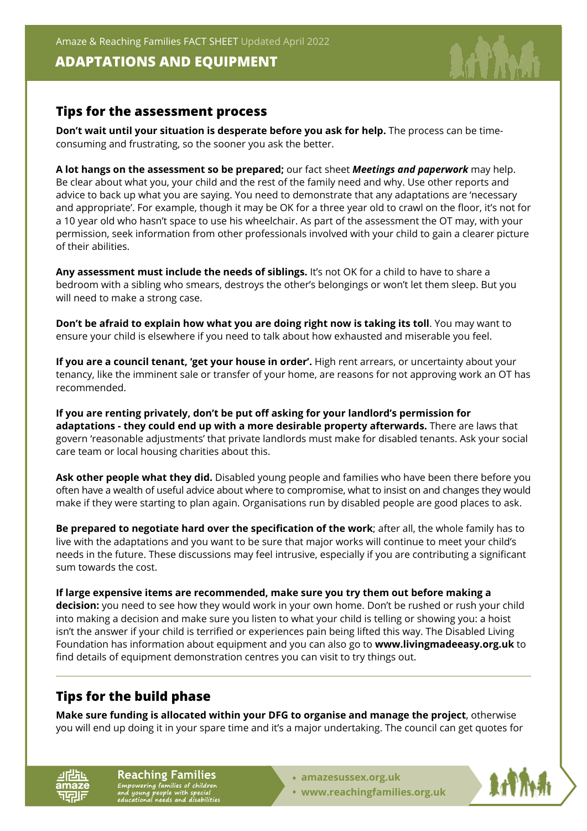Amaze & Reaching Families FACT SHEET Updated April 2022

#### **ADAPTATIONS AND EQUIPMENT**



#### **Tips for the assessment process**

**Don't wait until your situation is desperate before you ask for help.** The process can be timeconsuming and frustrating, so the sooner you ask the better.

**A lot hangs on the assessment so be prepared;** our fact sheet *Meetings and paperwork* may help. Be clear about what you, your child and the rest of the family need and why. Use other reports and advice to back up what you are saying. You need to demonstrate that any adaptations are 'necessary and appropriate'. For example, though it may be OK for a three year old to crawl on the floor, it's not for a 10 year old who hasn't space to use his wheelchair. As part of the assessment the OT may, with your permission, seek information from other professionals involved with your child to gain a clearer picture of their abilities.

**Any assessment must include the needs of siblings.** It's not OK for a child to have to share a bedroom with a sibling who smears, destroys the other's belongings or won't let them sleep. But you will need to make a strong case.

**Don't be afraid to explain how what you are doing right now is taking its toll**. You may want to ensure your child is elsewhere if you need to talk about how exhausted and miserable you feel.

**If you are a council tenant, 'get your house in order'.** High rent arrears, or uncertainty about your tenancy, like the imminent sale or transfer of your home, are reasons for not approving work an OT has recommended.

**If you are renting privately, don't be put off asking for your landlord's permission for adaptations - they could end up with a more desirable property afterwards.** There are laws that govern 'reasonable adjustments' that private landlords must make for disabled tenants. Ask your social care team or local housing charities about this.

**Ask other people what they did.** Disabled young people and families who have been there before you often have a wealth of useful advice about where to compromise, what to insist on and changes they would make if they were starting to plan again. Organisations run by disabled people are good places to ask.

**Be prepared to negotiate hard over the specification of the work**; after all, the whole family has to live with the adaptations and you want to be sure that major works will continue to meet your child's needs in the future. These discussions may feel intrusive, especially if you are contributing a significant sum towards the cost.

**If large expensive items are recommended, make sure you try them out before making a decision:** you need to see how they would work in your own home. Don't be rushed or rush your child into making a decision and make sure you listen to what your child is telling or showing you: a hoist isn't the answer if your child is terrified or experiences pain being lifted this way. The Disabled Living Foundation has information about equipment and you can also go to **[www.livingmadeeasy.org.uk](https://www.livingmadeeasy.org.uk)** to find details of equipment demonstration centres you can visit to try things out.

## **Tips for the build phase**

**Make sure funding is allocated within your DFG to organise and manage the project**, otherwise you will end up doing it in your spare time and it's a major undertaking. The council can get quotes for

**Reaching Families** Empowering families of children<br>and young people with special<br>educational needs and disabilitie

- **• [amazesussex.org.uk](https://amazesussex.org.uk)**
- **[www.reachingfamilies.org.uk](https://www.reachingfamilies.org.uk)**

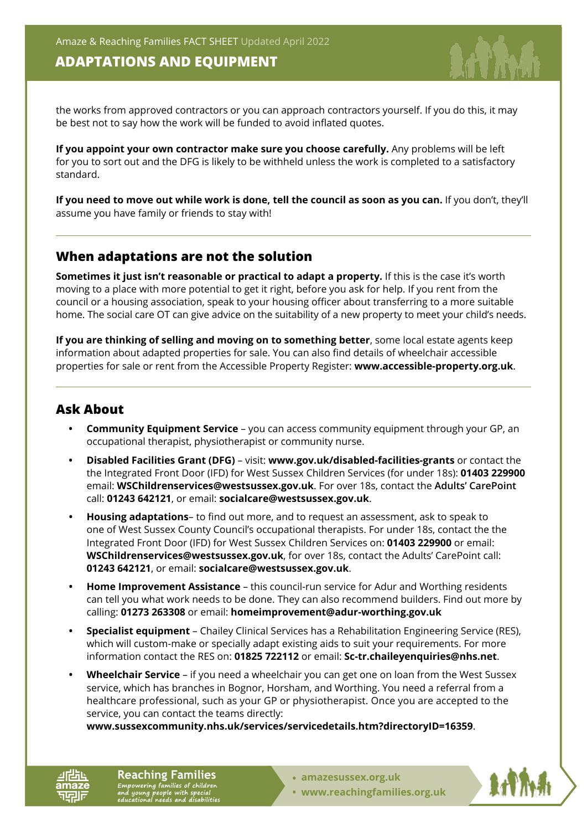### **ADAPTATIONS AND EQUIPMENT**

the works from approved contractors or you can approach contractors yourself. If you do this, it may be best not to say how the work will be funded to avoid inflated quotes.

**If you appoint your own contractor make sure you choose carefully.** Any problems will be left for you to sort out and the DFG is likely to be withheld unless the work is completed to a satisfactory standard.

**If you need to move out while work is done, tell the council as soon as you can.** If you don't, they'll assume you have family or friends to stay with!

#### **When adaptations are not the solution**

**Sometimes it just isn't reasonable or practical to adapt a property.** If this is the case it's worth moving to a place with more potential to get it right, before you ask for help. If you rent from the council or a housing association, speak to your housing officer about transferring to a more suitable home. The social care OT can give advice on the suitability of a new property to meet your child's needs.

**If you are thinking of selling and moving on to something better**, some local estate agents keep information about adapted properties for sale. You can also find details of wheelchair accessible properties for sale or rent from the Accessible Property Register: **[www.accessible-property.org.uk](https://www.accessible-property.org.uk)**.

#### **Ask About**

- **• Community Equipment Service**  you can access community equipment through your GP, an occupational therapist, physiotherapist or community nurse.
- **• Disabled Facilities Grant (DFG)**  visit: **[www.gov.uk/disabled-facilities-grants](https://www.gov.uk/disabled-facilities-grants)** or contact the the Integrated Front Door (IFD) for West Sussex Children Services (for under 18s): **01403 229900**  email: **WSChildrenservices@westsussex.gov.uk**. For over 18s, contact the **Adults' CarePoint** call: **01243 642121**, or email: **socialcare@westsussex.gov.uk**.
- **• Housing adaptations** to find out more, and to request an assessment, ask to speak to one of West Sussex County Council's occupational therapists. For under 18s, contact the the Integrated Front Door (IFD) for West Sussex Children Services on: **01403 229900** or email: **WSChildrenservices@westsussex.gov.uk**, for over 18s, contact the Adults' CarePoint call: **01243 642121**, or email: **socialcare@westsussex.gov.uk**.
- **• Home Improvement Assistance**  this council-run service for Adur and Worthing residents can tell you what work needs to be done. They can also recommend builders. Find out more by calling: **01273 263308** or email: **homeimprovement@adur-worthing.gov.uk**
- **• Specialist equipment**  Chailey Clinical Services has a Rehabilitation Engineering Service (RES), which will custom-make or specially adapt existing aids to suit your requirements. For more information contact the RES on: **01825 722112** or email: **Sc-tr.chaileyenquiries@nhs.net**.
- **• Wheelchair Service**  if you need a wheelchair you can get one on loan from the West Sussex service, which has branches in Bognor, Horsham, and Worthing. You need a referral from a healthcare professional, such as your GP or physiotherapist. Once you are accepted to the service, you can contact the teams directly:

**[www.sussexcommunity.nhs.uk/services/servicedetails.htm?directoryID=16359](https://www.sussexcommunity.nhs.uk/services/servicedetails.htm?directoryID=16359)**.

**Reaching Families** Empowering families of children<br>and young people with special<br>educational needs and disabilities

- **• [amazesussex.org.uk](https://amazesussex.org.uk)**
- **[www.reachingfamilies.org.uk](https://www.reachingfamilies.org.uk)**